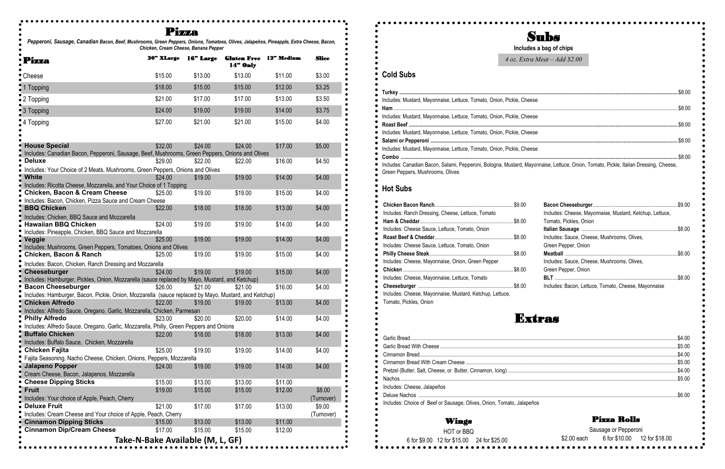# Subs

 $\bullet$ 

| se                                                                  |  |
|---------------------------------------------------------------------|--|
| se                                                                  |  |
| se                                                                  |  |
| se                                                                  |  |
| vonnaise, Lettuce, Onion, Tomato, Pickle, Italian Dressing, Cheese, |  |

|                                                                       | Includes a bag of chips                                                                                                              |  |
|-----------------------------------------------------------------------|--------------------------------------------------------------------------------------------------------------------------------------|--|
|                                                                       | $4$ oz. Extra Meat - Add \$2.00                                                                                                      |  |
| <b>Cold Subs</b>                                                      |                                                                                                                                      |  |
|                                                                       |                                                                                                                                      |  |
| Includes: Mustard, Mayonnaise, Lettuce, Tomato, Onion, Pickle, Cheese |                                                                                                                                      |  |
|                                                                       |                                                                                                                                      |  |
| Includes: Mustard, Mayonnaise, Lettuce, Tomato, Onion, Pickle, Cheese |                                                                                                                                      |  |
|                                                                       |                                                                                                                                      |  |
| Includes: Mustard, Mayonnaise, Lettuce, Tomato, Onion, Pickle, Cheese |                                                                                                                                      |  |
|                                                                       |                                                                                                                                      |  |
| Includes: Mustard, Mayonnaise, Lettuce, Tomato, Onion, Pickle, Cheese |                                                                                                                                      |  |
|                                                                       | Includes: Canadian Bacon, Salami, Pepperoni, Bologna, Mustard, Mayonnaise, Lettuce, Onion, Tomato, Pickle, Italian Dressing, Cheese, |  |
| Green Peppers, Mushrooms, Olives                                      |                                                                                                                                      |  |
| <b>Hot Subs</b>                                                       |                                                                                                                                      |  |
|                                                                       |                                                                                                                                      |  |
| Includes: Ranch Dressing, Cheese, Lettuce, Tomato                     | Includes: Cheese, Mayonnaise, Mustard, Ketchup, Lettuce,                                                                             |  |
|                                                                       | Tomato, Pickles, Onion                                                                                                               |  |
| Includes: Cheese Sauce, Lettuce, Tomato, Onion                        |                                                                                                                                      |  |
|                                                                       | Includes: Sauce, Cheese, Mushrooms, Olives,                                                                                          |  |
| Includes: Cheese Sauce, Lettuce, Tomato, Onion                        | Green Pepper, Onion                                                                                                                  |  |
|                                                                       |                                                                                                                                      |  |
| Includes: Cheese, Mayonnaise, Onion, Green Pepper                     | Includes: Sauce, Cheese, Mushrooms, Olives,                                                                                          |  |
|                                                                       | Green Pepper, Onion                                                                                                                  |  |
| Includes: Cheese, Mayonnaise, Lettuce, Tomato                         |                                                                                                                                      |  |
|                                                                       | Includes: Bacon, Lettuce, Tomato, Cheese, Mayonnaise                                                                                 |  |
| Includes: Cheese, Mayonnaise, Mustard, Ketchup, Lettuce,              |                                                                                                                                      |  |
| Tomato, Pickles, Onion                                                |                                                                                                                                      |  |
|                                                                       | <b>Kríras</b>                                                                                                                        |  |
|                                                                       |                                                                                                                                      |  |
|                                                                       |                                                                                                                                      |  |
|                                                                       |                                                                                                                                      |  |
|                                                                       |                                                                                                                                      |  |
|                                                                       |                                                                                                                                      |  |
|                                                                       |                                                                                                                                      |  |
|                                                                       |                                                                                                                                      |  |
| Includes: Cheese, Jalapeños                                           |                                                                                                                                      |  |
|                                                                       |                                                                                                                                      |  |
| Includes: Choice of Beef or Sausage, Olives, Onion, Tomato, Jalapeños |                                                                                                                                      |  |
| Wings                                                                 | <b>Pizza Rolls</b>                                                                                                                   |  |
| HOT or BBQ                                                            | Sausage or Pepperoni                                                                                                                 |  |
| 6 for \$9.00 12 for \$15.00 24 for \$25.00                            | 6 for \$10.00<br>\$2.00 each<br>12 for \$18.00                                                                                       |  |

### Pizza

*Pepperoni, Sausage, Canadian Bacon, Beef, Mushrooms, Green Peppers, Onions, Tomatoes, Olives, Jalapeños, Pineapple, Extra Cheese, Bacon, Chicken, Cream Cheese, Banana Pepper*

| Pizza                                                                                                                                | 20" XLarge | 16" Large                        | <b>Gluten Free</b><br><b>14" Only</b> | 12" Medium | <b>Slice</b> |
|--------------------------------------------------------------------------------------------------------------------------------------|------------|----------------------------------|---------------------------------------|------------|--------------|
| Cheese                                                                                                                               | \$15.00    | \$13.00                          | \$13.00                               | \$11.00    | \$3.00       |
| 1 Topping                                                                                                                            | \$18.00    | \$15.00                          | \$15.00                               | \$12.00    | \$3.25       |
| 2 Topping                                                                                                                            | \$21.00    | \$17.00                          | \$17.00                               | \$13.00    | \$3.50       |
| 3 Topping                                                                                                                            | \$24.00    | \$19.00                          | \$19.00                               | \$14.00    | \$3.75       |
| 4 Topping                                                                                                                            | \$27.00    | \$21.00                          | \$21.00                               | \$15.00    | \$4.00       |
| <b>House Special</b><br>Includes: Canadian Bacon, Pepperoni, Sausage, Beef, Mushrooms, Green Peppers, Onions and Olives              | \$32.00    | \$24.00                          | \$24.00                               | \$17.00    | \$5.00       |
| <b>Deluxe</b>                                                                                                                        | \$29.00    | \$22.00                          | \$22.00                               | \$16.00    | \$4.50       |
| Includes: Your Choice of 2 Meats, Mushrooms, Green Peppers, Onions and Olives                                                        |            |                                  |                                       |            |              |
| <b>White</b><br>Includes: Ricotta Cheese, Mozzarella, and Your Choice of 1 Topping                                                   | \$24.00    | \$19.00                          | \$19.00                               | \$14.00    | \$4.00       |
| <b>Chicken, Bacon &amp; Cream Cheese</b><br>Includes: Bacon, Chicken, Pizza Sauce and Cream Cheese                                   | \$25.00    | \$19.00                          | \$19.00                               | \$15.00    | \$4.00       |
| <b>BBQ Chicken</b>                                                                                                                   | \$22.00    | \$18.00                          | \$18.00                               | \$13.00    | \$4.00       |
| Includes: Chicken, BBQ Sauce and Mozzarella<br><b>Hawaiian BBQ Chicken</b><br>Includes: Pineapple, Chicken, BBQ Sauce and Mozzarella | \$24.00    | \$19.00                          | \$19.00                               | \$14.00    | \$4.00       |
| Veggie<br>Includes: Mushrooms, Green Peppers, Tomatoes, Onions and Olives                                                            | \$25.00    | \$19.00                          | \$19.00                               | \$14.00    | \$4.00       |
| Chicken, Bacon & Ranch                                                                                                               | \$25.00    | \$19.00                          | \$19.00                               | \$15.00    | \$4.00       |
| Includes: Bacon, Chicken, Ranch Dressing and Mozzarella                                                                              |            |                                  |                                       |            |              |
| Cheeseburger<br>Includes: Hamburger, Pickles, Onion, Mozzarella (sauce replaced by Mayo, Mustard, and Ketchup)                       | \$24.00    | \$19.00                          | \$19.00                               | \$15.00    | \$4.00       |
| <b>Bacon Cheeseburger</b>                                                                                                            | \$26.00    | \$21.00                          | \$21.00                               | \$16.00    | \$4.00       |
| Includes: Hamburger, Bacon, Pickle, Onion, Mozzarella (sauce replaced by Mayo, Mustard, and Ketchup)                                 |            |                                  |                                       |            |              |
| <b>Chicken Alfredo</b>                                                                                                               | \$22.00    | \$19.00                          | \$19.00                               | \$13.00    | \$4.00       |
| Includes: Alfredo Sauce, Oregano, Garlic, Mozzarella, Chicken, Parmesan                                                              |            |                                  |                                       |            |              |
| <b>Philly Alfredo</b>                                                                                                                | \$23.00    | \$20.00                          | \$20.00                               | \$14.00    | \$4.00       |
| Includes: Alfredo Sauce, Oregano, Garlic, Mozzarella, Philly, Green Peppers and Onions                                               |            |                                  |                                       |            |              |
| <b>Buffalo Chicken</b><br>Includes: Buffalo Sauce, Chicken, Mozzarella                                                               | \$22.00    | \$18.00                          | \$18.00                               | \$13.00    | \$4.00       |
| <b>Chicken Fajita</b>                                                                                                                | \$25.00    | \$19.00                          | \$19.00                               | \$14.00    | \$4.00       |
| Fajita Seasoning, Nacho Cheese, Chicken, Onions, Peppers, Mozzarella                                                                 |            |                                  |                                       |            |              |
| <b>Jalapeno Popper</b>                                                                                                               | \$24.00    | \$19.00                          | \$19.00                               | \$14.00    | \$4.00       |
| Cream Cheese, Bacon, Jalapenos, Mozzarella                                                                                           |            |                                  |                                       |            |              |
| <b>Cheese Dipping Sticks</b>                                                                                                         | \$15.00    | \$13.00                          | \$13.00                               | \$11.00    |              |
| <b>Fruit</b>                                                                                                                         | \$19.00    | \$15.00                          | \$15.00                               | \$12.00    | \$8.00       |
| Includes: Your choice of Apple, Peach, Cherry                                                                                        |            |                                  |                                       |            | (Turnover)   |
| <b>Deluxe Fruit</b>                                                                                                                  | \$21.00    | \$17.00                          | \$17.00                               | \$13.00    | \$9.00       |
| Includes: Cream Cheese and Your choice of Apple, Peach, Cherry                                                                       |            |                                  |                                       |            | (Turnover)   |
| <b>Cinnamon Dipping Sticks</b>                                                                                                       | \$15.00    | \$13.00                          | \$13.00                               | \$11.00    |              |
| <b>Cinnamon Dip/Cream Cheese</b>                                                                                                     | \$17.00    | \$15.00                          | \$15.00                               | \$12.00    |              |
|                                                                                                                                      |            | Take-N-Bake Available (M, L, GF) |                                       |            |              |